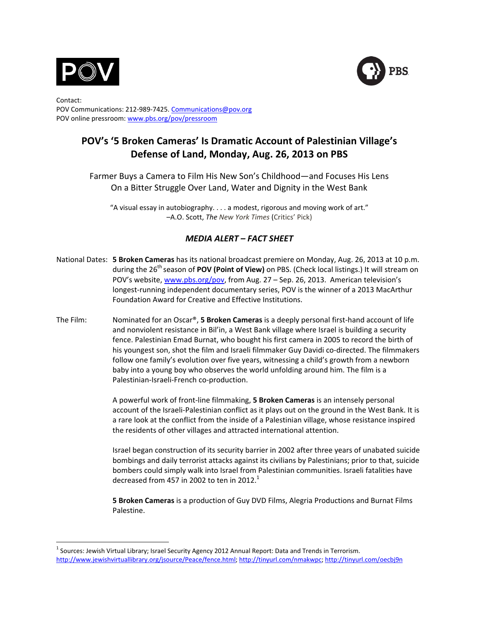



Contact: POV Communications: 212-989-7425. Communications@pov.org POV online pressroom: www.pbs.org/pov/pressroom

# POV's '5 Broken Cameras' Is Dramatic Account of Palestinian Village's Defense of Land, Monday, Aug. 26, 2013 on PBS

Farmer Buys a Camera to Film His New Son's Childhood—and Focuses His Lens On a Bitter Struggle Over Land, Water and Dignity in the West Bank

"A visual essay in autobiography.  $\ldots$  a modest, rigorous and moving work of art." –A.O.!Scott,!*The\$New\$York\$Times*!(Critics'!Pick)

## *MEDIA ALERT – FACT SHEET*

- National Dates: **5 Broken Cameras** has its national broadcast premiere on Monday, Aug. 26, 2013 at 10 p.m. during the 26<sup>th</sup> season of POV (Point of View) on PBS. (Check local listings.) It will stream on POV's website, www.pbs.org/pov, from Aug. 27 – Sep. 26, 2013. American television's longest-running independent documentary series, POV is the winner of a 2013 MacArthur Foundation Award for Creative and Effective Institutions.
- The Film: Nominated for an Oscar<sup>®</sup>, **5 Broken Cameras** is a deeply personal first-hand account of life and nonviolent resistance in Bil'in, a West Bank village where Israel is building a security fence. Palestinian Emad Burnat, who bought his first camera in 2005 to record the birth of his youngest son, shot the film and Israeli filmmaker Guy Davidi co-directed. The filmmakers follow one family's evolution over five years, witnessing a child's growth from a newborn baby into a young boy who observes the world unfolding around him. The film is a Palestinian-Israeli-French co-production.

A powerful work of front-line filmmaking, **5 Broken Cameras** is an intensely personal account of the Israeli-Palestinian conflict as it plays out on the ground in the West Bank. It is a rare look at the conflict from the inside of a Palestinian village, whose resistance inspired the residents of other villages and attracted international attention.

Israel began construction of its security barrier in 2002 after three years of unabated suicide bombings and daily terrorist attacks against its civilians by Palestinians; prior to that, suicide bombers could simply walk into Israel from Palestinian communities. Israeli fatalities have decreased from 457 in 2002 to ten in 2012.<sup>1</sup>

**5 Broken Cameras** is a production of Guy DVD Films, Alegria Productions and Burnat Films Palestine.

enders:<br>International Sources: Jewish Virtual Library; Israel Security Agency 2012 Annual Report: Data and Trends in Terrorism. http://www.jewishvirtuallibrary.org/jsource/Peace/fence.html; http://tinyurl.com/nmakwpc; http://tinyurl.com/oecbj9n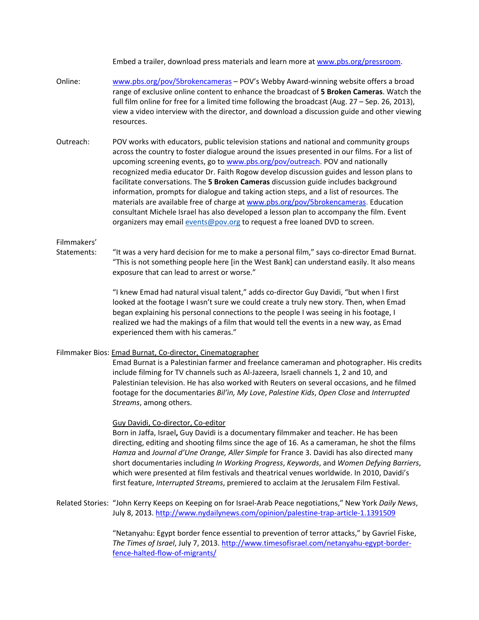Embed a trailer, download press materials and learn more at www.pbs.org/pressroom.

- Online: www.pbs.org/pov/5brokencameras POV's Webby Award-winning website offers a broad range of exclusive online content to enhance the broadcast of 5 Broken Cameras. Watch the full film online for free for a limited time following the broadcast (Aug. 27 – Sep. 26, 2013), view a video interview with the director, and download a discussion guide and other viewing resources.
- Outreach: POV works with educators, public television stations and national and community groups across the country to foster dialogue around the issues presented in our films. For a list of upcoming screening events, go to www.pbs.org/pov/outreach. POV and nationally recognized media educator Dr. Faith Rogow develop discussion guides and lesson plans to facilitate conversations. The 5 Broken Cameras discussion guide includes background information, prompts for dialogue and taking action steps, and a list of resources. The materials are available free of charge at www.pbs.org/pov/5brokencameras. Education consultant Michele Israel has also developed a lesson plan to accompany the film. Event organizers may email events@pov.org to request a free loaned DVD to screen.

### Filmmakers'

Statements: "It was a very hard decision for me to make a personal film," says co-director Emad Burnat. "This is not something people here [in the West Bank] can understand easily. It also means exposure that can lead to arrest or worse."

> "I knew Emad had natural visual talent," adds co-director Guy Davidi, "but when I first looked at the footage I wasn't sure we could create a truly new story. Then, when Emad began explaining his personal connections to the people I was seeing in his footage, I realized we had the makings of a film that would tell the events in a new way, as Emad experienced them with his cameras."

#### Filmmaker Bios: Emad Burnat, Co-director, Cinematographer

Emad Burnat is a Palestinian farmer and freelance cameraman and photographer. His credits include filming for TV channels such as Al-Jazeera, Israeli channels 1, 2 and 10, and Palestinian television. He has also worked with Reuters on several occasions, and he filmed footage for the documentaries *Bil'in, My Love, Palestine Kids, Open Close* and *Interrupted* Streams, among others.

#### Guy Davidi, Co-director, Co-editor

Born in Jaffa, Israel, Guy Davidi is a documentary filmmaker and teacher. He has been directing, editing and shooting films since the age of 16. As a cameraman, he shot the films *Hamza* and *Journal d'Une Orange, Aller Simple* for France 3. Davidi has also directed many short documentaries including *In Working Progress, Keywords*, and *Women Defying Barriers*, which were presented at film festivals and theatrical venues worldwide. In 2010, Davidi's first feature, *Interrupted Streams*, premiered to acclaim at the Jerusalem Film Festival.

Related Stories: "John Kerry Keeps on Keeping on for Israel-Arab Peace negotiations," New York *Daily News*, July 8, 2013. http://www.nydailynews.com/opinion/palestine-trap-article-1.1391509

> "Netanyahu: Egypt border fence essential to prevention of terror attacks," by Gavriel Fiske, The Times of Israel, July 7, 2013. http://www.timesofisrael.com/netanyahu-egypt-borderfence-halted-flow-of-migrants/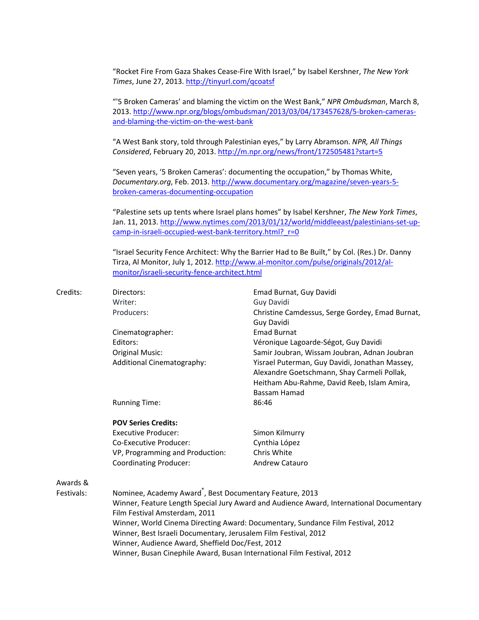"Rocket Fire From Gaza Shakes Cease-Fire With Israel," by Isabel Kershner, The New York *Times*, June 27, 2013. http://tinyurl.com/qcoatsf

"'5 Broken Cameras' and blaming the victim on the West Bank," *NPR Ombudsman*, March 8, 2013. http://www.npr.org/blogs/ombudsman/2013/03/04/173457628/5-broken-camerasand-blaming-the-victim-on-the-west-bank

"A West Bank story, told through Palestinian eyes," by Larry Abramson. NPR, All Things Considered, February 20, 2013. http://m.npr.org/news/front/172505481?start=5

"Seven years, '5 Broken Cameras': documenting the occupation," by Thomas White, Documentary.org, Feb. 2013. http://www.documentary.org/magazine/seven-years-5broken-cameras-documenting-occupation

"Palestine sets up tents where Israel plans homes" by Isabel Kershner, *The New York Times*, Jan. 11, 2013. http://www.nytimes.com/2013/01/12/world/middleeast/palestinians-set-upcamp-in-israeli-occupied-west-bank-territory.html?\_r=0

"Israel Security Fence Architect: Why the Barrier Had to Be Built," by Col. (Res.) Dr. Danny Tirza, Al Monitor, July 1, 2012. http://www.al-monitor.com/pulse/originals/2012/almonitor/israeli-security-fence-architect.html

| Credits:   | Directors:                                                                                                               | Emad Burnat, Guy Davidi                                       |
|------------|--------------------------------------------------------------------------------------------------------------------------|---------------------------------------------------------------|
|            | Writer:                                                                                                                  | <b>Guy Davidi</b>                                             |
|            | Producers:                                                                                                               | Christine Camdessus, Serge Gordey, Emad Burnat,<br>Guy Davidi |
|            | Cinematographer:                                                                                                         | <b>Emad Burnat</b>                                            |
|            | Editors:                                                                                                                 | Véronique Lagoarde-Ségot, Guy Davidi                          |
|            | <b>Original Music:</b>                                                                                                   | Samir Joubran, Wissam Joubran, Adnan Joubran                  |
|            | Additional Cinematography:                                                                                               | Yisrael Puterman, Guy Davidi, Jonathan Massey,                |
|            |                                                                                                                          | Alexandre Goetschmann, Shay Carmeli Pollak,                   |
|            |                                                                                                                          | Heitham Abu-Rahme, David Reeb, Islam Amira,                   |
|            |                                                                                                                          | Bassam Hamad                                                  |
|            | <b>Running Time:</b>                                                                                                     | 86:46                                                         |
|            | <b>POV Series Credits:</b>                                                                                               |                                                               |
|            | <b>Executive Producer:</b>                                                                                               | Simon Kilmurry                                                |
|            | Co-Executive Producer:                                                                                                   | Cynthia López                                                 |
|            | VP, Programming and Production:                                                                                          | Chris White                                                   |
|            | <b>Coordinating Producer:</b>                                                                                            | Andrew Catauro                                                |
| Awards &   |                                                                                                                          |                                                               |
| Festivals: | Nominee, Academy Award <sup>®</sup> , Best Documentary Feature, 2013                                                     |                                                               |
|            | Winner, Feature Length Special Jury Award and Audience Award, International Documentary<br>Film Festival Amsterdam, 2011 |                                                               |
|            |                                                                                                                          |                                                               |
|            | Winner, Best Israeli Documentary, Jerusalem Film Festival, 2012                                                          |                                                               |
|            |                                                                                                                          | Winner, Audience Award, Sheffield Doc/Fest, 2012              |
|            | Winner, Busan Cinephile Award, Busan International Film Festival, 2012                                                   |                                                               |
|            |                                                                                                                          |                                                               |